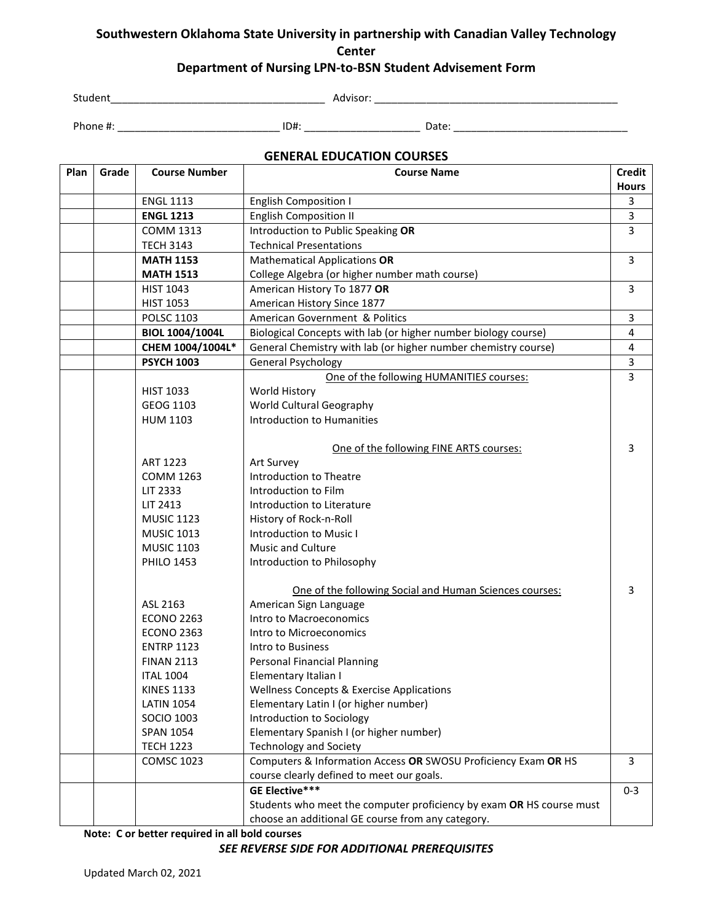## **Southwestern Oklahoma State University in partnership with Canadian Valley Technology Center Department of Nursing LPN-to-BSN Student Advisement Form**

Student\_\_\_\_\_\_\_\_\_\_\_\_\_\_\_\_\_\_\_\_\_\_\_\_\_\_\_\_\_\_\_\_\_\_\_\_\_ Advisor: \_\_\_\_\_\_\_\_\_\_\_\_\_\_\_\_\_\_\_\_\_\_\_\_\_\_\_\_\_\_\_\_\_\_\_\_\_\_\_\_\_\_

Phone #: \_\_\_\_\_\_\_\_\_\_\_\_\_\_\_\_\_\_\_\_\_\_\_\_\_\_\_\_ ID#: \_\_\_\_\_\_\_\_\_\_\_\_\_\_\_\_\_\_\_\_ Date: \_\_\_\_\_\_\_\_\_\_\_\_\_\_\_\_\_\_\_\_\_\_\_\_\_\_\_\_\_\_

#### **GENERAL EDUCATION COURSES**

| Plan | Grade | <b>Course Number</b>   | <b>Course Name</b>                                                   | Credit       |
|------|-------|------------------------|----------------------------------------------------------------------|--------------|
|      |       |                        |                                                                      | <b>Hours</b> |
|      |       | <b>ENGL 1113</b>       | <b>English Composition I</b>                                         | 3            |
|      |       | <b>ENGL 1213</b>       | <b>English Composition II</b>                                        | 3            |
|      |       | <b>COMM 1313</b>       | Introduction to Public Speaking OR                                   | 3            |
|      |       | <b>TECH 3143</b>       | <b>Technical Presentations</b>                                       |              |
|      |       | <b>MATH 1153</b>       | <b>Mathematical Applications OR</b>                                  | 3            |
|      |       | <b>MATH 1513</b>       | College Algebra (or higher number math course)                       |              |
|      |       | <b>HIST 1043</b>       | American History To 1877 OR                                          | 3            |
|      |       | <b>HIST 1053</b>       | American History Since 1877                                          |              |
|      |       | <b>POLSC 1103</b>      | American Government & Politics                                       | 3            |
|      |       | <b>BIOL 1004/1004L</b> | Biological Concepts with lab (or higher number biology course)       | 4            |
|      |       | CHEM 1004/1004L*       | General Chemistry with lab (or higher number chemistry course)       | 4            |
|      |       | <b>PSYCH 1003</b>      | General Psychology                                                   | 3            |
|      |       |                        | One of the following HUMANITIES courses:                             | 3            |
|      |       | <b>HIST 1033</b>       | World History                                                        |              |
|      |       | GEOG 1103              | World Cultural Geography                                             |              |
|      |       | <b>HUM 1103</b>        | <b>Introduction to Humanities</b>                                    |              |
|      |       |                        |                                                                      |              |
|      |       |                        | One of the following FINE ARTS courses:                              | 3            |
|      |       | ART 1223               | Art Survey                                                           |              |
|      |       | <b>COMM 1263</b>       | Introduction to Theatre                                              |              |
|      |       | LIT 2333               | Introduction to Film                                                 |              |
|      |       | LIT 2413               | Introduction to Literature                                           |              |
|      |       | <b>MUSIC 1123</b>      | History of Rock-n-Roll                                               |              |
|      |       | <b>MUSIC 1013</b>      | Introduction to Music I                                              |              |
|      |       | <b>MUSIC 1103</b>      | Music and Culture                                                    |              |
|      |       | <b>PHILO 1453</b>      | Introduction to Philosophy                                           |              |
|      |       |                        | One of the following Social and Human Sciences courses:              | 3            |
|      |       | ASL 2163               | American Sign Language                                               |              |
|      |       | <b>ECONO 2263</b>      | Intro to Macroeconomics                                              |              |
|      |       | <b>ECONO 2363</b>      | Intro to Microeconomics                                              |              |
|      |       | <b>ENTRP 1123</b>      | Intro to Business                                                    |              |
|      |       | <b>FINAN 2113</b>      | Personal Financial Planning                                          |              |
|      |       | <b>ITAL 1004</b>       | Elementary Italian I                                                 |              |
|      |       | <b>KINES 1133</b>      | Wellness Concepts & Exercise Applications                            |              |
|      |       | <b>LATIN 1054</b>      | Elementary Latin I (or higher number)                                |              |
|      |       | <b>SOCIO 1003</b>      | Introduction to Sociology                                            |              |
|      |       | <b>SPAN 1054</b>       | Elementary Spanish I (or higher number)                              |              |
|      |       | <b>TECH 1223</b>       | <b>Technology and Society</b>                                        |              |
|      |       | <b>COMSC 1023</b>      | Computers & Information Access OR SWOSU Proficiency Exam OR HS       | 3            |
|      |       |                        | course clearly defined to meet our goals.                            |              |
|      |       |                        | <b>GE Elective***</b>                                                | $0 - 3$      |
|      |       |                        | Students who meet the computer proficiency by exam OR HS course must |              |
|      |       |                        | choose an additional GE course from any category.                    |              |

**Note: C or better required in all bold courses**

*SEE REVERSE SIDE FOR ADDITIONAL PREREQUISITES*